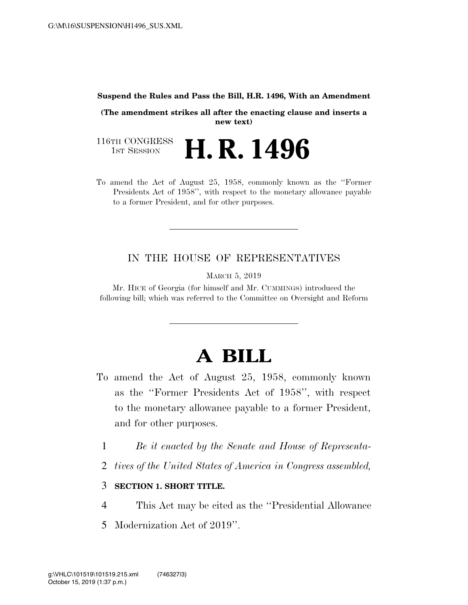#### **Suspend the Rules and Pass the Bill, H.R. 1496, With an Amendment**

**(The amendment strikes all after the enacting clause and inserts a new text)** 

116TH CONGRESS<br>1st Session H. R. 1496

To amend the Act of August 25, 1958, commonly known as the ''Former Presidents Act of 1958'', with respect to the monetary allowance payable to a former President, and for other purposes.

### IN THE HOUSE OF REPRESENTATIVES

MARCH 5, 2019

Mr. HICE of Georgia (for himself and Mr. CUMMINGS) introduced the following bill; which was referred to the Committee on Oversight and Reform

# **A BILL**

- To amend the Act of August 25, 1958, commonly known as the ''Former Presidents Act of 1958'', with respect to the monetary allowance payable to a former President, and for other purposes.
	- 1 *Be it enacted by the Senate and House of Representa-*
	- 2 *tives of the United States of America in Congress assembled,*

### 3 **SECTION 1. SHORT TITLE.**

- 4 This Act may be cited as the ''Presidential Allowance
- 5 Modernization Act of 2019''.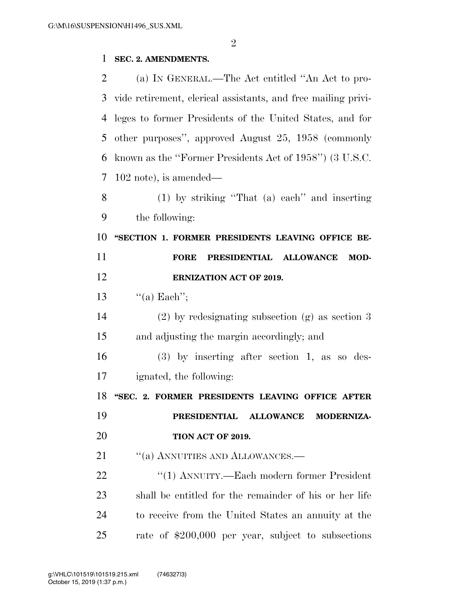## **SEC. 2. AMENDMENTS.**

| 2  | (a) IN GENERAL.—The Act entitled "An Act to pro-              |
|----|---------------------------------------------------------------|
| 3  | vide retirement, clerical assistants, and free mailing privi- |
| 4  | leges to former Presidents of the United States, and for      |
| 5  | other purposes", approved August 25, 1958 (commonly           |
| 6  | known as the "Former Presidents Act of 1958") (3 U.S.C.       |
| 7  | $102$ note), is amended—                                      |
| 8  | $(1)$ by striking "That $(a)$ each" and inserting             |
| 9  | the following:                                                |
| 10 | "SECTION 1. FORMER PRESIDENTS LEAVING OFFICE BE-              |
| 11 | PRESIDENTIAL ALLOWANCE<br><b>FORE</b><br>MOD-                 |
| 12 | <b>ERNIZATION ACT OF 2019.</b>                                |
| 13 | $\lq\lq$ (a) Each'';                                          |
| 14 | $(2)$ by redesignating subsection $(g)$ as section 3          |
| 15 | and adjusting the margin accordingly; and                     |
| 16 | $(3)$ by inserting after section 1, as so des-                |
| 17 | ignated, the following:                                       |
| 18 | "SEC. 2. FORMER PRESIDENTS LEAVING OFFICE AFTER               |
| 19 | PRESIDENTIAL ALLOWANCE MODERNIZA-                             |
| 20 | TION ACT OF 2019.                                             |
| 21 | "(a) ANNUITIES AND ALLOWANCES.-                               |
| 22 | "(1) ANNUITY.—Each modern former President                    |
| 23 | shall be entitled for the remainder of his or her life        |
| 24 | to receive from the United States an annuity at the           |
| 25 | rate of \$200,000 per year, subject to subsections            |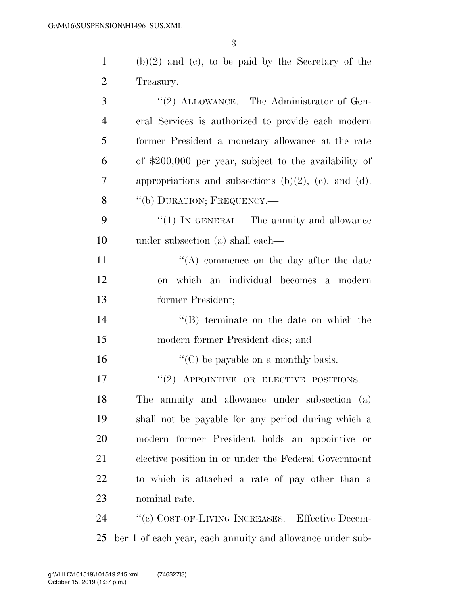| $\mathbf{1}$   | $(b)(2)$ and $(c)$ , to be paid by the Secretary of the       |
|----------------|---------------------------------------------------------------|
| $\overline{2}$ | Treasury.                                                     |
| 3              | "(2) ALLOWANCE.—The Administrator of Gen-                     |
| $\overline{4}$ | eral Services is authorized to provide each modern            |
| 5              | former President a monetary allowance at the rate             |
| 6              | of \$200,000 per year, subject to the availability of         |
| 7              | appropriations and subsections $(b)(2)$ , $(c)$ , and $(d)$ . |
| 8              | "(b) DURATION; FREQUENCY.-                                    |
| 9              | "(1) IN GENERAL.—The annuity and allowance                    |
| 10             | under subsection (a) shall each—                              |
| 11             | $\lq\lq$ commence on the day after the date                   |
| 12             | on which an individual becomes a modern                       |
| 13             | former President;                                             |
| 14             | $\lq\lq$ terminate on the date on which the                   |
| 15             | modern former President dies; and                             |
| 16             | $\lq\lq$ (C) be payable on a monthly basis.                   |
| 17             | $``(2)$ APPOINTIVE OR ELECTIVE POSITIONS.—                    |
| 18             | The annuity and allowance under subsection (a)                |
| 19             | shall not be payable for any period during which a            |
| 20             | modern former President holds an appointive or                |
| 21             | elective position in or under the Federal Government          |
| <u>22</u>      | to which is attached a rate of pay other than a               |
| 23             | nominal rate.                                                 |
| 24             | "(c) COST-OF-LIVING INCREASES.—Effective Decem-               |
|                |                                                               |

ber 1 of each year, each annuity and allowance under sub-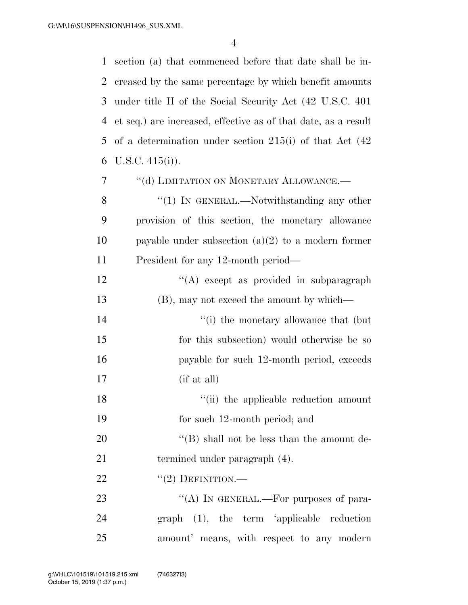section (a) that commenced before that date shall be in- creased by the same percentage by which benefit amounts under title II of the Social Security Act (42 U.S.C. 401 et seq.) are increased, effective as of that date, as a result of a determination under section 215(i) of that Act (42 U.S.C. 415(i)).

| $\overline{7}$ | "(d) LIMITATION ON MONETARY ALLOWANCE.-              |
|----------------|------------------------------------------------------|
| 8              | "(1) IN GENERAL.—Notwithstanding any other           |
| 9              | provision of this section, the monetary allowance    |
| 10             | payable under subsection $(a)(2)$ to a modern former |
| 11             | President for any 12-month period—                   |
| 12             | "(A) except as provided in subparagraph              |
| 13             | (B), may not exceed the amount by which—             |
| 14             | "(i) the monetary allowance that (but)               |
| 15             | for this subsection) would otherwise be so           |
| 16             | payable for such 12-month period, exceeds            |
| 17             | (if at all)                                          |
| 18             | "(ii) the applicable reduction amount                |
| 19             | for such 12-month period; and                        |
| 20             | $\lq\lq (B)$ shall not be less than the amount de-   |
| 21             | termined under paragraph (4).                        |
| 22             | $``(2)$ DEFINITION.—                                 |
| 23             | "(A) IN GENERAL.—For purposes of para-               |

 graph (1), the term 'applicable reduction amount' means, with respect to any modern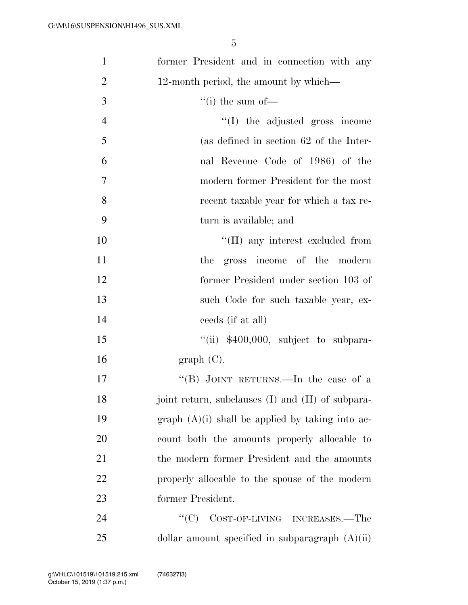| $\mathbf{1}$   | former President and in connection with any        |
|----------------|----------------------------------------------------|
| $\overline{2}$ | 12-month period, the amount by which—              |
| 3              | $\lq\lq$ (i) the sum of —                          |
| $\overline{4}$ | $\lq\lq$ the adjusted gross income                 |
| 5              | (as defined in section 62 of the Inter-            |
| 6              | nal Revenue Code of 1986) of the                   |
| 7              | modern former President for the most               |
| 8              | recent taxable year for which a tax re-            |
| 9              | turn is available; and                             |
| 10             | $\lq$ (II) any interest excluded from              |
| 11             | gross income of the modern<br>the                  |
| 12             | former President under section 103 of              |
| 13             | such Code for such taxable year, ex-               |
| 14             | ceeds (if at all)                                  |
| 15             | $``(ii)$ \$400,000, subject to subpara-            |
| 16             | graph(C).                                          |
| 17             | "(B) JOINT RETURNS.—In the case of a               |
| 18             | joint return, subclauses (I) and (II) of subpara-  |
| 19             | graph $(A)(i)$ shall be applied by taking into ac- |
| 20             | count both the amounts properly allocable to       |
| 21             | the modern former President and the amounts        |
| 22             | properly allocable to the spouse of the modern     |
| 23             | former President.                                  |
| 24             | COST-OF-LIVING INCREASES.—The<br>``(C)             |
| 25             | dollar amount specified in subparagraph $(A)(ii)$  |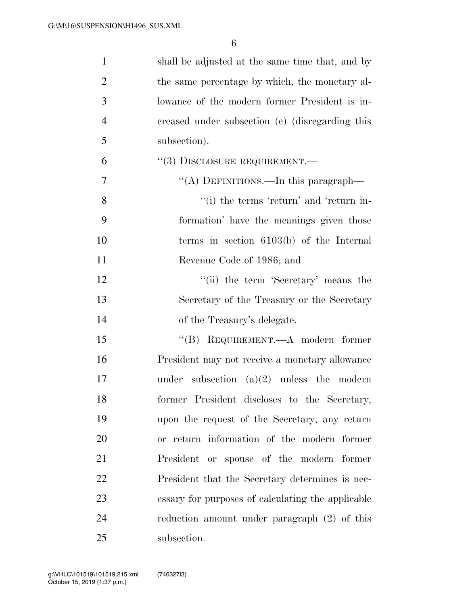| $\mathbf{1}$   | shall be adjusted at the same time that, and by   |
|----------------|---------------------------------------------------|
| $\overline{2}$ | the same percentage by which, the monetary al-    |
| 3              | lowance of the modern former President is in-     |
| $\overline{4}$ | creased under subsection (c) (disregarding this   |
| 5              | subsection).                                      |
| 6              | $``(3)$ DISCLOSURE REQUIREMENT.—                  |
| $\overline{7}$ | "(A) DEFINITIONS.—In this paragraph—              |
| 8              | "(i) the terms 'return' and 'return in-           |
| 9              | formation' have the meanings given those          |
| 10             | terms in section $6103(b)$ of the Internal        |
| 11             | Revenue Code of 1986; and                         |
| 12             | "(ii) the term 'Secretary' means the              |
| 13             | Secretary of the Treasury or the Secretary        |
| 14             | of the Treasury's delegate.                       |
| 15             | "(B) REQUIREMENT.— $A$ modern former              |
| 16             | President may not receive a monetary allowance    |
| 17             | under subsection $(a)(2)$ unless the modern       |
| 18             | former President discloses to the Secretary,      |
| 19             | upon the request of the Secretary, any return     |
| 20             | or return information of the modern former        |
| 21             | President or spouse of the modern former          |
| 22             | President that the Secretary determines is nec-   |
| 23             | essary for purposes of calculating the applicable |
| 24             | reduction amount under paragraph $(2)$ of this    |
| 25             | subsection.                                       |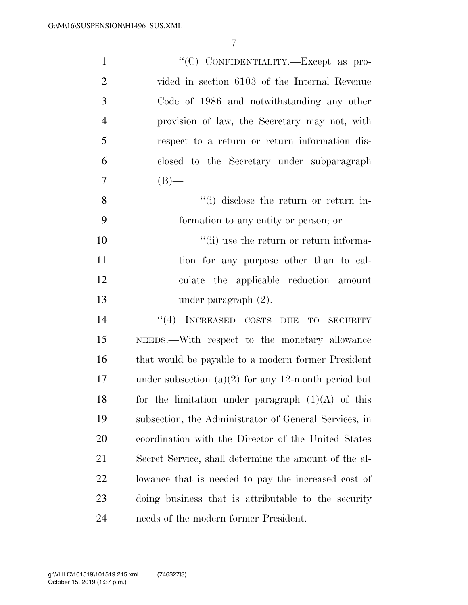| $\mathbf{1}$   | "(C) CONFIDENTIALITY.-Except as pro-                  |
|----------------|-------------------------------------------------------|
| $\overline{2}$ | vided in section 6103 of the Internal Revenue         |
| 3              | Code of 1986 and notwithstanding any other            |
| $\overline{4}$ | provision of law, the Secretary may not, with         |
| 5              | respect to a return or return information dis-        |
| 6              | closed to the Secretary under subparagraph            |
| 7              | $(B)$ —                                               |
| 8              | "(i) disclose the return or return in-                |
| 9              | formation to any entity or person; or                 |
| 10             | "(ii) use the return or return informa-               |
| 11             | tion for any purpose other than to cal-               |
| 12             | culate the applicable reduction amount                |
| 13             | under paragraph $(2)$ .                               |
| 14             | $``(4)$ INCREASED COSTS DUE TO<br>SECURITY            |
| 15             | NEEDS.—With respect to the monetary allowance         |
| 16             | that would be payable to a modern former President    |
| 17             | under subsection $(a)(2)$ for any 12-month period but |
| 18             | for the limitation under paragraph $(1)(A)$ of this   |
| 19             | subsection, the Administrator of General Services, in |
| 20             | coordination with the Director of the United States   |
| 21             | Secret Service, shall determine the amount of the al- |
| 22             | lowance that is needed to pay the increased cost of   |
| 23             | doing business that is attributable to the security   |
| 24             | needs of the modern former President.                 |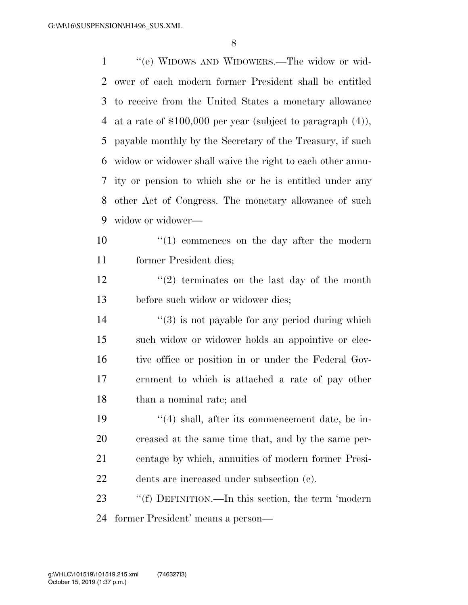''(e) WIDOWS AND WIDOWERS.—The widow or wid- ower of each modern former President shall be entitled to receive from the United States a monetary allowance at a rate of \$100,000 per year (subject to paragraph (4)), payable monthly by the Secretary of the Treasury, if such widow or widower shall waive the right to each other annu- ity or pension to which she or he is entitled under any other Act of Congress. The monetary allowance of such widow or widower—  $10 \t\t\t\t\t''(1)$  commences on the day after the modern former President dies;  $\frac{12}{2}$  ''(2) terminates on the last day of the month before such widow or widower dies;  $\frac{14}{2}$  ''(3) is not payable for any period during which such widow or widower holds an appointive or elec-16 tive office or position in or under the Federal Gov-ernment to which is attached a rate of pay other

- than a nominal rate; and
- 19 ''(4) shall, after its commencement date, be in- creased at the same time that, and by the same per- centage by which, annuities of modern former Presi-dents are increased under subsection (c).

23 "'(f) DEFINITION.—In this section, the term 'modern former President' means a person—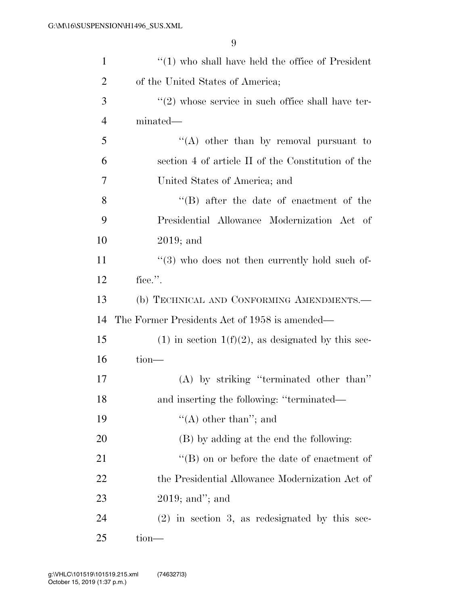| $\mathbf{1}$   | $\cdot$ (1) who shall have held the office of President |
|----------------|---------------------------------------------------------|
| $\overline{2}$ | of the United States of America;                        |
| 3              | $\lq(2)$ whose service in such office shall have ter-   |
| $\overline{4}$ | minated—                                                |
| 5              | "(A) other than by removal pursuant to                  |
| 6              | section 4 of article II of the Constitution of the      |
| 7              | United States of America; and                           |
| 8              | $\lq\lq$ after the date of enactment of the             |
| 9              | Presidential Allowance Modernization Act of             |
| 10             | $2019$ ; and                                            |
| 11             | $(3)$ who does not then currently hold such of-         |
| 12             | fice.".                                                 |
| 13             | (b) TECHNICAL AND CONFORMING AMENDMENTS.-               |
| 14             | The Former Presidents Act of 1958 is amended—           |
| 15             | $(1)$ in section $1(f)(2)$ , as designated by this sec- |
| 16             | $tion$ —                                                |
| 17             | (A) by striking "terminated other than"                 |
| 18             | and inserting the following: "terminated—               |
| 19             | "(A) other than"; and                                   |
| 20             | (B) by adding at the end the following:                 |
| 21             | $\lq\lq$ (B) on or before the date of enactment of      |
| 22             | the Presidential Allowance Modernization Act of         |
| 23             | $2019$ ; and"; and                                      |
| 24             | $(2)$ in section 3, as redesignated by this sec-        |
| 25             | tion-                                                   |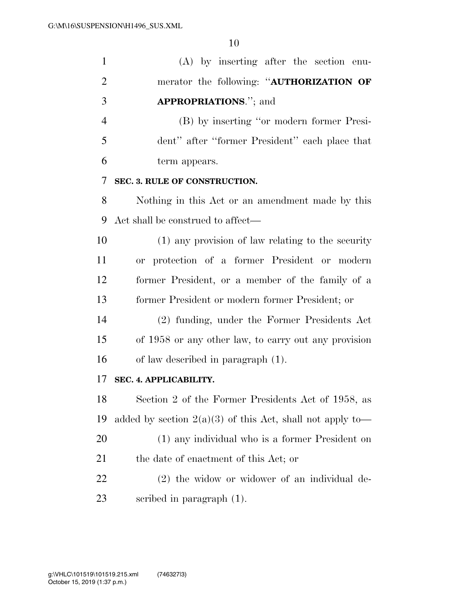| $\mathbf{1}$   | $(A)$ by inserting after the section enu-                   |
|----------------|-------------------------------------------------------------|
| $\overline{2}$ | merator the following: "AUTHORIZATION OF                    |
| 3              | <b>APPROPRIATIONS."</b> ; and                               |
| $\overline{4}$ | (B) by inserting "or modern former Presi-                   |
| 5              | dent" after "former President" each place that              |
| 6              | term appears.                                               |
| 7              | SEC. 3. RULE OF CONSTRUCTION.                               |
| 8              | Nothing in this Act or an amendment made by this            |
| 9              | Act shall be construed to affect—                           |
| 10             | (1) any provision of law relating to the security           |
| 11             | or protection of a former President or modern               |
| 12             | former President, or a member of the family of a            |
| 13             | former President or modern former President; or             |
| 14             | (2) funding, under the Former Presidents Act                |
| 15             | of 1958 or any other law, to carry out any provision        |
| 16             | of law described in paragraph (1).                          |
| 17             | SEC. 4. APPLICABILITY.                                      |
| 18             | Section 2 of the Former Presidents Act of 1958, as          |
| 19             | added by section $2(a)(3)$ of this Act, shall not apply to- |
| 20             | (1) any individual who is a former President on             |
| 21             | the date of enactment of this Act; or                       |
| 22             | (2) the widow or widower of an individual de-               |
| 23             | scribed in paragraph $(1)$ .                                |